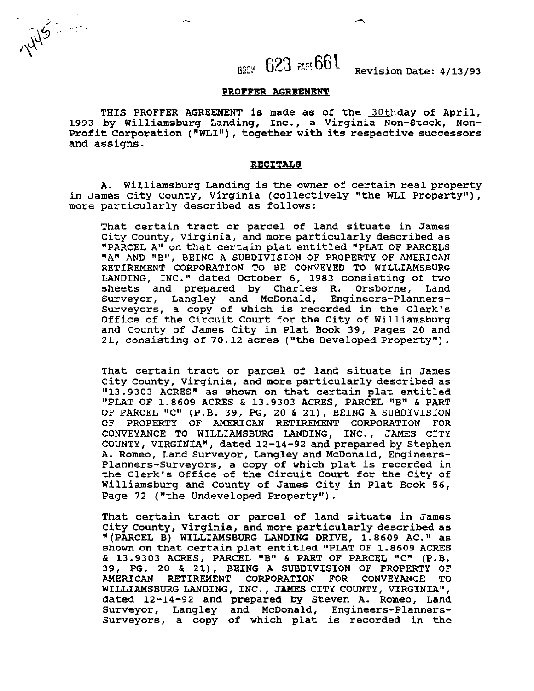**85%.** 623 ~~661 **Revision Date: 4/13/93** 

#### **PROFFER AGREEMENT**

WS .......

THIS PROFFER AGREEMENT is made as of the 30thday of April, **1993 by Williamsburg Landing, Inc., a Virginia Non-Stock, Non-**Profit Corporation ("WLI"), together with its respective successors **and assigns.** 

#### **RECITALS**

**A. Williamsburg Landing is the owner of certain real property**  in James City County, Virginia (collectively "the WLI Property"), **more particularly described as follows:** 

**That certain tract or parcel of land situate in James City County, Virginia, and more particularly described as "PARCEL A" on that certain plat entitled "PLAT OF PARCELS "A" AND "B", BEING A SUBDIVISION OF PROPERTY OF AMERICAN RETIREMENT CORPORATION TO BE CONVEYED TO WILLIAMSBURG LANDING, INC." dated October 6, 1983 consisting of two sheets and prepared by Charles R. Orsborne, Land Surveyor, Langley and McDonald, Engineers-planners-Surveyors, a copy of which is recorded in the Clerk's Office of the Circuit Court for the City of Williamsburg and County of James City in Plat Book 39, Pages 20 and 21, consisting of 70.12 acres ("the Developed Property").** 

**That certain tract or parcel of land situate in James City County, Virginia, and more particularly described as "13.9303 ACRES" as shown on that certain plat entitled "PLAT OF 1.8609 ACRES** & **13.9303 ACRES, PARCEL "B"** & **PART OF PARCEL "C" (P.B. 39, PG, 20** & **21)** , **BEING A SUBDIVISION OF PROPERTY OF AMERICAN RETIREMENT CORPORATION FOR CONVEYANCE TO WILLIAMSBURG LANDING, INC., JAMES CITY COUNTY, VIRGINIA8\*, dated 12-14-92 and prepared by Stephen A. Romeo, Land Surveyor, Langley and McDonald, Engineers-Planners-Surveyors, a copy of which plat is recorded in the Clerk's Office of the Circuit Court for the City of**  Williamsburg and County of James City in Plat Book 56,<br>Page 72 ("the Undeveloped Property").

**That certain tract or parcel of land situate in James City County, Virginia, and more particularly described as**  '' **(PARCEL B) WILLIAMSBURG LANDING DRIVE, 1.8609 AC. as**  shown on that certain plat entitled "PLAT OF 1.8609 ACRES & **13.9303 ACRES, PARCEL "B"** & **PART OF PARCEL "C" (P.B. 39, PG. 20** & **21), BEING A SUBDIVISION OF PROPERTY OF AMERICAN RETIREMENT CORPORATION FOR CONVEYANCE TO WILLIAMSBURG LANDING, INC** . , **JAMES CITY COUNTY, VIRGINIA", dated 12-14-92 and prepared by Steven A. Romeo, Land Surveyor, Langley and McDonald, Engineers-Planners-Surveyors, a copy of which plat is recorded in the**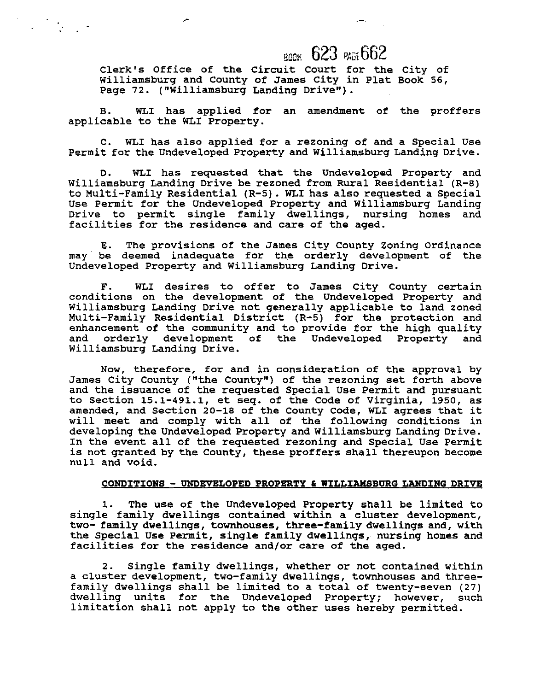## **BODK 623 PAGE 662**

Clerk's Office of the Circuit Court for the City of Williamsburg and County of James City in Plat Book 56, Page **72.** ( "Williamsburg Landing Drive") .

B. **WLI** has applied for an amendment of the proffers applicable to the WLI Property.

C. WLI has also applied for a rezoning of and a Special Use Permit for the Undeveloped Property and Williamsburg Landing Drive.

D. WLI has requested that the Undeveloped Property and Williamsburg Landing Drive be rezoned from Rural Residential (R-8) to Multi-Family Residential (R-5). **WLI** has also requested a Special Use Permit for the Undeveloped Property and Williamsburg Landing Drive to permit single family dwellings, nursing homes and facilities for the residence and care of the aged.

E. The provisions of the James City County Zoning Ordinance may' be deemed inadequate for the orderly development of the Undeveloped Property and Williamsburg Landing Drive.

F. WLI desires to offer to James City County certain conditions on the development of the Undeveloped Property and Williamsburg Landing Drive not generally applicable to land zoned Multi-Family Residential District (R-5) for the protection and enhancement of the community and to provide for the high quality and orderly development of the Undeveloped Property and Williamsburg Landing Drive.

Now, therefore, for and in consideration of the approval by James City County ("the County") of the rezoning set forth above and the issuance of the requested Special Use Permit and pursuant to Section 15.1-491.1, et seq. of the Code of Virginia, 1950, as amended, and Section 20-18 of the County Code, WLI agrees that it will meet and comply with all of the following conditions in developing the Undeveloped Property and Williamsburg Landing Drive. In the event all of the requested rezoning and Special Use Permit is not granted by the County, these proffers shall thereupon become null and void.

#### **CONDITIONS** - **UNDEVELOPED PROPERTY** & **WILLIAMSBURG LANDING DRIVE**

The use of the Undeveloped Property shall be limited to single family dwellings contained within a cluster development, two- family dwellings, townhouses, three-family dwellings and, with the Special Use Permit, single family dwellings, nursing homes and facilities for the residence and/or care of the aged.

2. Single family dwellings, whether or not contained within a cluster development, two-family dwellings, townhouses and threefamily dwellings shall be limited to a total of twenty-seven (27) dwelling units for the Undeveloped Property; however, such limitation shall not apply to the other uses hereby permitted.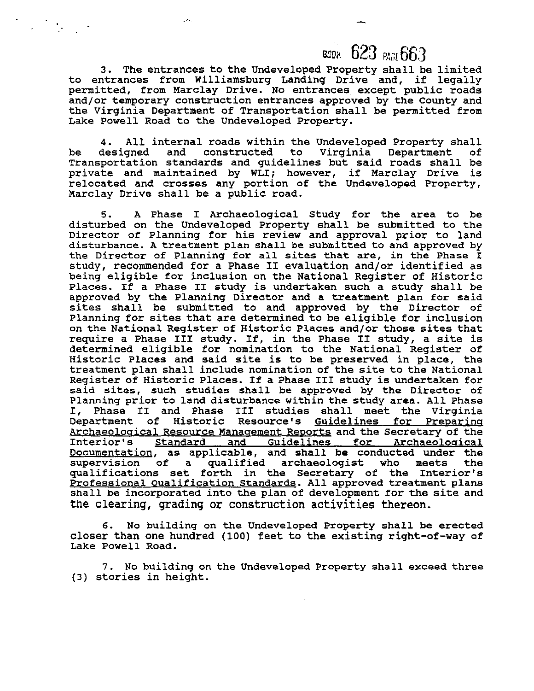## воок 623 PAGE 663

**3.** The entrances tothe Undeveloped Property shall be limited to entrances from Williamsburg Landing Drive and, if legally permitted, from Marclay Drive. No entrances except public roads and/or temporary construction entrances approved by the County and the Virginia Department of Transportation shall be permitted from Lake Powell Road to the Undeveloped Property.

4. All internal roads within the Undeveloped Property shall<br>designed and constructed to Virginia Department of be designed and constructed to Transportation standards and guidelines but said roads shall be private and maintained by WLI; however, if Marclay Drive is relocated and crosses any portion of the Undeveloped Property, Marclay Drive shall be a public road.

5. A Phase I Archaeological Study for the area to be disturbed on the Undeveloped Property shall be submitted to the Director of Planning for his review and approval prior to land disturbance. A treatment plan shall be submitted to and approved by the Director of Planning for all sites that are, in the Phase I study, recommended for a Phase **I1** evaluation and/or identified as being eligible for inclusion on the National Register of Historic Places. If a Phase I1 study is undertaken such a study shall be approved by the Planning Director and a treatment plan for said sites shall be submitted to and approved by the Director of Planning for sites that are determined to be eligible for inclusion on the National Register of Historic Places and/or those sites that require a Phase III study. If, in the Phase II study, a site is determined eligible for nomination to the National Register of Historic Places and said site is to be preserved in place, the treatment plan shall include nomination of the site to the National Register of Historic Places. If a Phase I11 study is undertaken for said sites, such studies shall be approved by the Director of Planning prior to land disturbance within the study area. All Phase I, Phase I1 and Phase I11 studies shall meet the Virginia Department of Historic Resource's Guidelines for Preparing Archaeological Resource Management Reports and the Secretary of the Interior's Standard and Guidelines for Archaeological Standard and Guidelines for Archaeological Documentation, as applicable, and shall be conducted under the supervision of a qualified archaeologist who meets the a qualified archaeologist qualifications set forth in the Secretary of the Interior's Professional Oualification Standards. All approved treatment plans shall be incorporated into the plan of development for the site and the clearing, grading or construction activities thereon.

6. No building on the Undeveloped Property shall be erected closer than one hundred (100) feet to the existing right-of-way of Lake Powell Road.

**7.** No building on the Undeveloped Property shall exceed three (3) stories in height.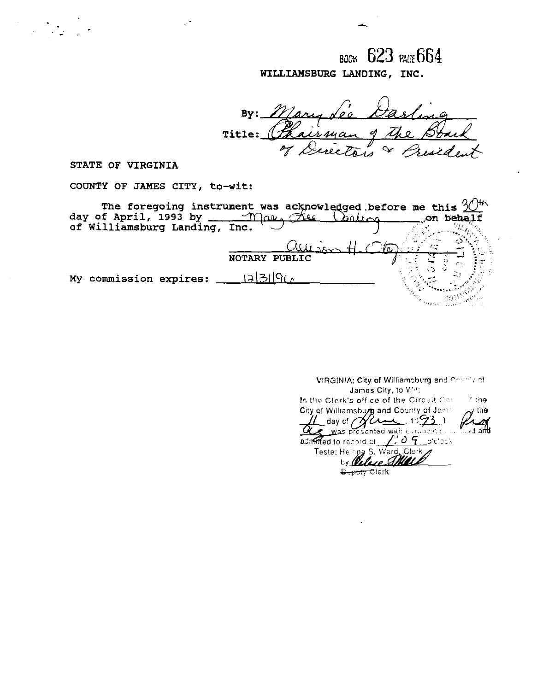воок 623 раст 664 WILLIAMSBURG LANDING, INC.

 $By:$  $\sqrt{\rho}$  in Boark<br>widen the irman Title:  $\sqrt{ }$  $\frac{q}{l}$ inclos of  $\measuredangle$ 

STATE OF VIRGINIA

COUNTY OF JAMES CITY, to-wit:

| The foregoing instrument was acknowledged before me this $3046$<br>day of April, 1993 by<br>of Williamsburg Landing, Inc. | Mars          | Flee<br>arlisa | on behalf |
|---------------------------------------------------------------------------------------------------------------------------|---------------|----------------|-----------|
| My commission expires:                                                                                                    | NOTARY PUBLIC |                |           |
|                                                                                                                           |               |                |           |

| VIRGINIA: City of Williamsburg and Correct of                   |  |  |  |  |  |  |
|-----------------------------------------------------------------|--|--|--|--|--|--|
| James City, to With                                             |  |  |  |  |  |  |
| In the Clerk's office of the Circuit Cor<br>f tha               |  |  |  |  |  |  |
| City of Williamsburg and County of James<br>the                 |  |  |  |  |  |  |
| $1/2$ day of $\gamma$ and 1093 1.                               |  |  |  |  |  |  |
| QUE was presented with curtitization and a                      |  |  |  |  |  |  |
| admitted to record at $\angle$ $\angle$ $\theta$ $\sim$ o'clock |  |  |  |  |  |  |
| Teste: Helang S. Ward, Clerk                                    |  |  |  |  |  |  |
| by Welcom Co                                                    |  |  |  |  |  |  |
| Clerk                                                           |  |  |  |  |  |  |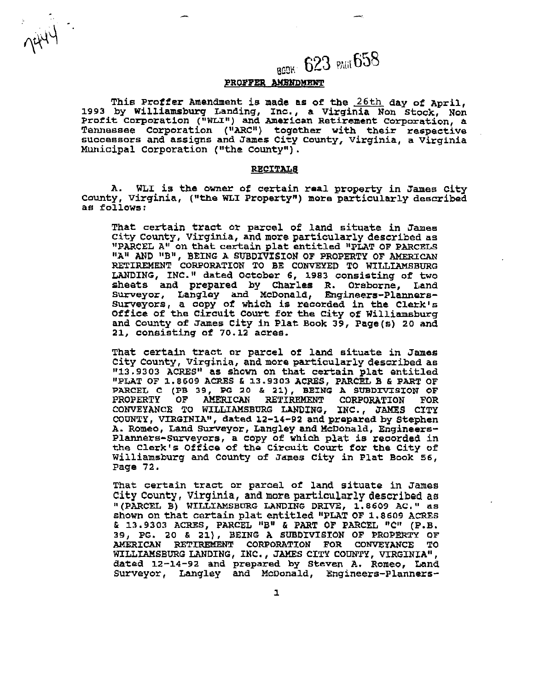## BCO BOS PAGE 658

#### PROFFER AMENDMENT

This Proffer Amendment is made **as** of **the** 26th day of April, 1993 by Williamsburg Landing, Inc., a Virginia Non Stock, Non Profit corporation **("WLIn)** and nmerican Retirement Corporation, a Tennessee Corporation ("ARC") together with their respective successors and assigns and James City county, Virginia, a Virginia Municipal Corporation ("the County").

#### **RECITALS**

WLI is the owner of certain real property in James City County, Virginia, ("the WLI Property") more particularly described **as** follows:

That certain tract or parcel of land situate in Jamee City County, Virginia, and more particularly described as "PARCEL A" on that certain plat entitled "PLAT OF PARCELS "A" AND "B", BEING A SUBDIVISION OF PROPERTY OF AMERICAN RETIREMENT CORPORATION TO BE CONVEYED TO **WILLIAMSBURG**  LANDING, INC." dated October 6, 1983 consisting of two sheets and prepared by Charles R. Orsborne, Land Sweyor, Langley and McDonald, Engineers-Planners-Surveyors, a oopy of which is recorded in the Clerkle Office of the Circuit Court for **the** City of Williamsburg and County of James City in Plat Book 39, Page(s) 20 and 21, consisting of 70.12 acrea.

That certain tract or parcel of **land** situate in James City County, Virginia, and more particularly described as 1113.9303 **ACRES"** as shown on that certain plat entitled "PLAT OF 1.8609 **ACRES** & 13.9303 **ACRES,** PARCEL B **6** PART OF PARCEL C (PB 39, PG 20 & 21), **BEING A SUBDIVISION OF AMERICAN RETIREMENT** CORPORATION FOR **PROPERTY OF AMERICAN** RETIREMENT **CORPORATION FOR**  CONVEYANCE TO WILLIAMSBURG **WRING, INC., JAMES** CITY COUNTY, VIRGINIA", dated **12-14-92** and prepared **by** Stephen A. Romeo, Land Surveyor, Langley and McDonald, Engineers-Planners-Surveyors, a copy of which plat is recorded in **the** Clerk's Office of tho circuit Court for the City of williamsburg **and** County of James City in Plat Book 56, Page 72.

That certain tract or parcel of land situate in James City **County,** Virginia, **and more particularly** described as " (PARCEL **8) WILLIAMSBURG LANDING DRIVE,** 1.8609 **AC.** " as shown on that certain plat entitled "PLAT OF 1.8609 ACRES & 13.9303 ACRES, PARCEL "B" & PART **OF PARCEL** "C" (P.B. 39, PG. 20 & **21),** BEING **A SUBDIVISION** OF **PROPERTY** OF AMERICAN RETIRENF,N!C CORPORATION FOR CONVEYANCE TO **WILLIAMSBURG** LANDING, **INC.** , JAMES CITY COUNTY, **VTRGINIA"** , **dated** 12-14-92 **and** prepared by Steven **A.** Romeo, Land dated 12-14-92 and prepared by Steven A. Romeo, Land<br>Surveyor, Langley and McDonald, Engineers-Planners-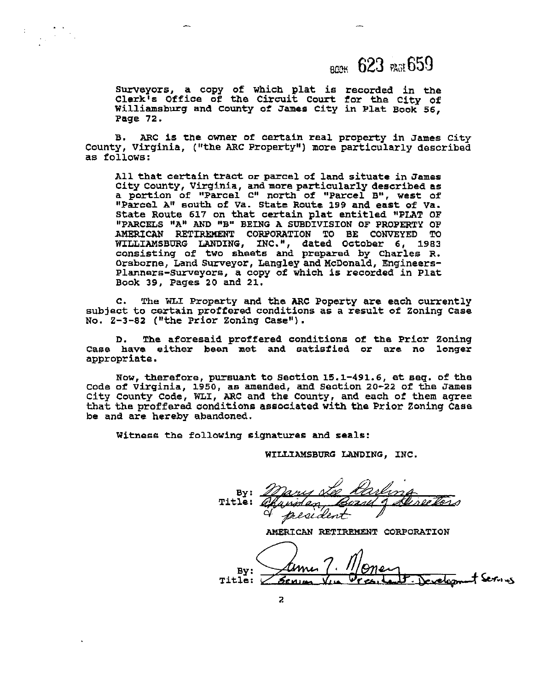### $_{RWH}$  623  $_{RGH}$ 659

Surveyors, a copy of which plat is recorded in the Clerk's Office of the Circuit Court for the City of Williamsburg and County of James **City** in Plat Book 56, Page 72.

B. ARC is the owner of certain real property in James City County, Virginia, ("the ARC Property") more particularly described **as** follows:

All that certain tract or parcel of land situate in James City County, Virginia, **and** more particularly described as a portion of '\*Parcel Cl8 north of "Parcel **Bu,** west of "Parcel A" south of Va. State Route 199 and east of Va. state Route 617 on that certain plat entitled "PLAT OF "PARCELS **"A" AND "8" BEING** A SUBDIVISION OF PROPERTY OF **AMERICAN** RETIREMENT COWORATION TO BE CONVEYED TO WILLIAMSBURG LANDING, INC.", dated October 6, 1983 consisting of two shaets **and** prepared by Charles R. Orsborne, **Land** Surveyor, Langley andicDonald, Engineers-Planners-Surveyors, a copy of which is recorded in Plat Book **39,** Pages **20** and 21.

**c.** The WLI Property and the ARC Poperty are each currently subject to certain proffered conditions as a result of Zoning Case NO. **2-3-82 ("the** Prior Zoning Case").

D. The aforesaid proffered conditions of **the** Prior Zoning **Case have either been** met **and** satisfied or **are** no longer appropriate.

NOW, therefore, pursuant to seotion 15.1-491.6, et seq. of the code of virginia, 1950, a6 amended, and Seotion 20-22 of the James City County Code, WLI, ARC and the County, and each of them agree that the proffered conditions associated with the Prior Zoning Case be and are hereby abandoned.

Witness **the** following signatures and seals:

**WILGIAMSBURG** LANDING, INC.

By: Title:  $\mathscr A$ Dany Le Carling<br>Runden Cornel d'Arretor

By: Developm Title:  $\cup$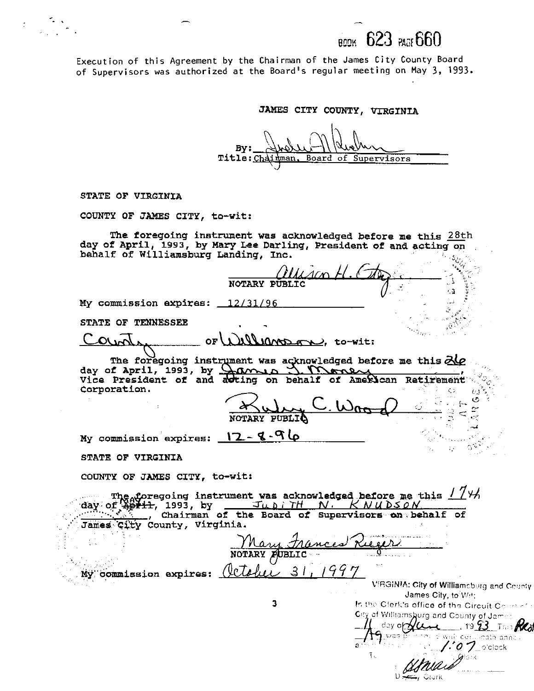623 PAGE 660

Execution of this Agreement by the Chairman of the James City County Board of Supervisors was authorized at the Board's regular meeting on May 3, 1993.

JAMES CITY COUNTY, VIRGINIA

By: Title: Cha Board man. of Supervisors

STATE OF VIRGINIA

COUNTY OF JAMES CITY, to-wit:

The foregoing instrument was acknowledged before me this 28th day of April, 1993, by Mary Lee Darling, President of and acting on behalf of Williamsburg Landing, Inc.

**NOTARY** ζũ My commission expires: 12/31/96 STATE OF TENNESSEE  $\widehat{\mathcal{E}}$ Count 11110mpgn), to-wit: OF The foregoing instrument was acknowledged before me this 210 day of April, 1993, by  $\bigcup_{n=1}^{\infty} \bigcup_{n=1}^{\infty} \bigcup_{n=1}^{\infty} \bigcup_{n=1}^{\infty}$ <br>Vice President of and acting on behalf of American Retirement Corporation. Ō.  $\sigma$ NOTARY PUBLIQ My commission expires: 12 - 8-96 STATE OF VIRGINIA COUNTY OF JAMES CITY, to-wit: 'day of ' James City County, Virginia. rances NOTARY PUBLIC My commission expires: (ICTA VIRGINIA: City of Williamsburg and County James City, to Wet: 3 In the Clerk's office of the Circuit Comment City of Williamsburg and County of James day of  $\lambda$  $-$  19.23 To **K**  $\mathbf{\mathfrak{h}}$  was ) with conflicate annual ſΓ  $\mathbf{a}$  $'$ : 0  $\mathcal{V}$  orcleck

T.